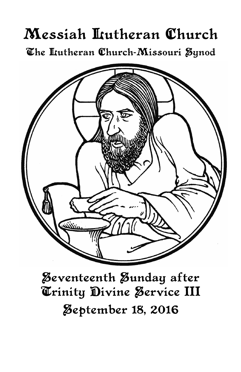# Messiah Lutheran Church The Iutheran Church-Missouri Synod



Seventeenth Sunday after Trinity Divine Service III **Zeptember 18, 2016**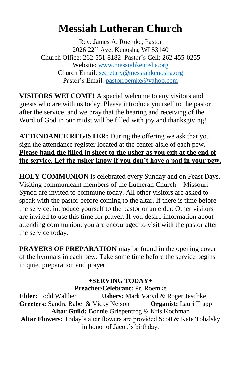# **Messiah Lutheran Church**

Rev. James A. Roemke, Pastor 2026 22nd Ave. Kenosha, WI 53140 Church Office: 262-551-8182 Pastor's Cell: 262-455-0255 Website: [www.messiahkenosha.org](http://www.messiahkenosha.org/) Church Email: [secretary@messiahkenosha.org](mailto:secretary@messiahkenosha.org) Pastor's Email: [pastorroemke@yahoo.com](file:///C:/Users/Secretary.Office-PC/Documents/Bulletin/2015%20Bulletins/pastorroemke@yahoo.com)

**VISITORS WELCOME!** A special welcome to any visitors and guests who are with us today. Please introduce yourself to the pastor after the service, and we pray that the hearing and receiving of the Word of God in our midst will be filled with joy and thanksgiving!

**ATTENDANCE REGISTER:** During the offering we ask that you sign the attendance register located at the center aisle of each pew. **Please hand the filled in sheet to the usher as you exit at the end of the service. Let the usher know if you don't have a pad in your pew.**

**HOLY COMMUNION** is celebrated every Sunday and on Feast Days. Visiting communicant members of the Lutheran Church—Missouri Synod are invited to commune today. All other visitors are asked to speak with the pastor before coming to the altar. If there is time before the service, introduce yourself to the pastor or an elder. Other visitors are invited to use this time for prayer. If you desire information about attending communion, you are encouraged to visit with the pastor after the service today.

**PRAYERS OF PREPARATION** may be found in the opening cover of the hymnals in each pew. Take some time before the service begins in quiet preparation and prayer.

# **+SERVING TODAY+ Preacher/Celebrant:** Pr. Roemke

**Elder:** Todd Walther **Ushers:** Mark Varvil & Roger Jeschke **Greeters:** Sandra Babel & Vicky Nelson **Organist:** Lauri Trapp **Altar Guild:** Bonnie Griepentrog & Kris Kochman **Altar Flowers:** Today's altar flowers are provided Scott & Kate Tobalsky in honor of Jacob's birthday.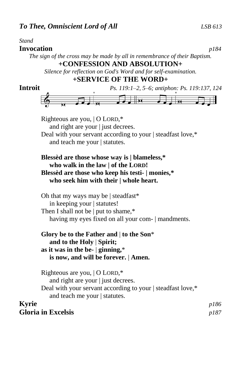# *Stand*

# **Invocation** *p184*

*The sign of the cross may be made by all in remembrance of their Baptism.* **+CONFESSION AND ABSOLUTION+**

*Silence for reflection on God's Word and for self-examination.*

# **+SERVICE OF THE WORD+**

| <b>Introit</b> | Ps. 119:1-2, 5-6; antiphon: Ps. 119:137, 124                                                                                                                                       |              |  |  |  |  |  |
|----------------|------------------------------------------------------------------------------------------------------------------------------------------------------------------------------------|--------------|--|--|--|--|--|
|                |                                                                                                                                                                                    |              |  |  |  |  |  |
|                |                                                                                                                                                                                    |              |  |  |  |  |  |
|                | Righteous are you,   O LORD,*<br>and right are your   just decrees.                                                                                                                |              |  |  |  |  |  |
|                | Deal with your servant according to your   steadfast love,*<br>and teach me your   statutes.<br>Blessed are those whose way is   blameless,*<br>who walk in the law   of the LORD! |              |  |  |  |  |  |
|                |                                                                                                                                                                                    |              |  |  |  |  |  |
|                | Blessèd are those who keep his testi-   monies,*<br>who seek him with their   whole heart.                                                                                         |              |  |  |  |  |  |
|                | Oh that my ways may be   steadfast*<br>in keeping your   statutes!                                                                                                                 |              |  |  |  |  |  |
|                | Then I shall not be $ $ put to shame,*<br>having my eyes fixed on all your com-   mandments.                                                                                       |              |  |  |  |  |  |
|                | Glory be to the Father and $\vert$ to the Son*<br>and to the Holy   Spirit;<br>as it was in the be- $ $ ginning,*                                                                  |              |  |  |  |  |  |
|                | is now, and will be forever.   Amen.                                                                                                                                               |              |  |  |  |  |  |
|                | Righteous are you,   O LORD,*<br>and right are your   just decrees.                                                                                                                |              |  |  |  |  |  |
|                | Deal with your servant according to your   steadfast love,*<br>and teach me your   statutes.                                                                                       |              |  |  |  |  |  |
| <b>Kyrie</b>   | <b>Gloria in Excelsis</b>                                                                                                                                                          | p186<br>p187 |  |  |  |  |  |
|                |                                                                                                                                                                                    |              |  |  |  |  |  |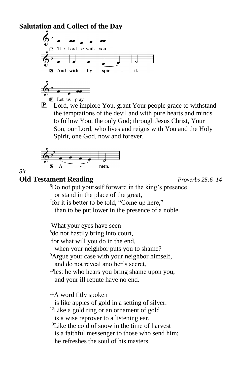# **Salutation and Collect of the Day**



 $\mathbf{P}$  Lord, we implore You, grant Your people grace to withstand the temptations of the devil and with pure hearts and minds to follow You, the only God; through Jesus Christ, Your Son, our Lord, who lives and reigns with You and the Holy Spirit, one God, now and forever.



*Sit*

# **Old Testament Reading** *Proverbs 25:6–14*

<sup>6</sup>Do not put yourself forward in the king's presence or stand in the place of the great,

<sup>7</sup> for it is better to be told, "Come up here,"

than to be put lower in the presence of a noble.

 What your eyes have seen <sup>8</sup>do not hastily bring into court, for what will you do in the end, when your neighbor puts you to shame?  $9$ Argue your case with your neighbor himself, and do not reveal another's secret, <sup>10</sup>lest he who hears you bring shame upon you, and your ill repute have no end. <sup>11</sup>A word fitly spoken is like apples of gold in a setting of silver.  $12$ Like a gold ring or an ornament of gold is a wise reprover to a listening ear. <sup>13</sup>Like the cold of snow in the time of harvest is a faithful messenger to those who send him;

he refreshes the soul of his masters.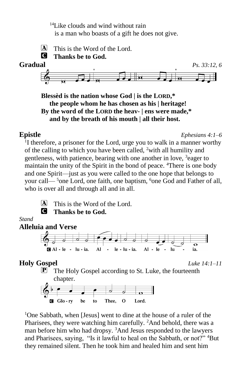<sup>14</sup>Like clouds and wind without rain is a man who boasts of a gift he does not give.



**Blessèd is the nation whose God | is the LORD,\* the people whom he has chosen as his | heritage! By the word of the LORD the heav- | ens were made,\* and by the breath of his mouth | all their host.**

**Epistle** *Ephesians 4:1–6*

<sup>1</sup>I therefore, a prisoner for the Lord, urge you to walk in a manner worthy of the calling to which you have been called, <sup>2</sup>with all humility and gentleness, with patience, bearing with one another in love, <sup>3</sup>eager to maintain the unity of the Spirit in the bond of peace. <sup>4</sup>There is one body and one Spirit—just as you were called to the one hope that belongs to your call— $5$ one Lord, one faith, one baptism,  $6$ one God and Father of all, who is over all and through all and in all.



 $[A]$  This is the Word of the Lord. C **Thanks be to God.**

# *Stand*



# **Holy Gospel** *Luke 14:1–11*

**P** The Holy Gospel according to St. Luke, the fourteenth chapter.



<sup>1</sup>One Sabbath, when [Jesus] went to dine at the house of a ruler of the Pharisees, they were watching him carefully. <sup>2</sup>And behold, there was a man before him who had dropsy. <sup>3</sup>And Jesus responded to the lawyers and Pharisees, saying, "Is it lawful to heal on the Sabbath, or not?" <sup>4</sup>But they remained silent. Then he took him and healed him and sent him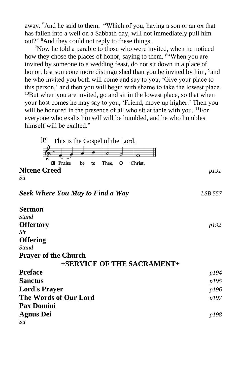away. <sup>5</sup>And he said to them, "Which of you, having a son or an ox that has fallen into a well on a Sabbath day, will not immediately pull him out?" <sup>6</sup>And they could not reply to these things.

 $7$ Now he told a parable to those who were invited, when he noticed how they chose the places of honor, saying to them, <sup>84</sup> When you are invited by someone to a wedding feast, do not sit down in a place of honor, lest someone more distinguished than you be invited by him, <sup>9</sup> and he who invited you both will come and say to you, 'Give your place to this person,' and then you will begin with shame to take the lowest place.  $10$ But when you are invited, go and sit in the lowest place, so that when your host comes he may say to you, 'Friend, move up higher.' Then you will be honored in the presence of all who sit at table with you. <sup>11</sup>For everyone who exalts himself will be humbled, and he who humbles himself will be exalted."



### *Seek Where You May to Find a Way LSB 557*

| <b>Sermon</b>               |      |
|-----------------------------|------|
| Stand                       |      |
| <b>Offertory</b>            | p192 |
| Sit                         |      |
| <b>Offering</b>             |      |
| Stand                       |      |
| <b>Prayer of the Church</b> |      |
| +SERVICE OF THE SACRAMENT+  |      |
| <b>Preface</b>              | p194 |
| <b>Sanctus</b>              | p195 |
| <b>Lord's Prayer</b>        | p196 |
| The Words of Our Lord       |      |
| <b>Pax Domini</b>           |      |
| <b>Agnus Dei</b>            | p198 |
| Sit                         |      |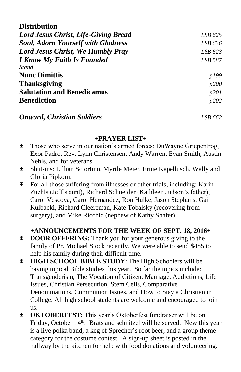| <b>Distribution</b>                       |              |
|-------------------------------------------|--------------|
| Lord Jesus Christ, Life-Giving Bread      | LSB 625      |
| <b>Soul, Adorn Yourself with Gladness</b> | LSB 636      |
| <b>Lord Jesus Christ, We Humbly Pray</b>  | LSB 623      |
| <b>I Know My Faith Is Founded</b>         | LSB 587      |
| <b>Stand</b>                              |              |
| <b>Nunc Dimittis</b>                      | p199         |
| <b>Thanksgiving</b>                       | p200         |
| <b>Salutation and Benedicamus</b>         | p201         |
| <b>Benediction</b>                        | <i>p</i> 202 |
| <b>Onward, Christian Soldiers</b>         | LSB 662      |

# **+PRAYER LIST+**

- Those who serve in our nation's armed forces: DuWayne Griepentrog, Exor Padro, Rev. Lynn Christensen, Andy Warren, Evan Smith, Austin Nehls, and for veterans.
- Shut-ins: Lillian Sciortino, Myrtle Meier, Ernie Kapellusch, Wally and Gloria Pipkorn.
- For all those suffering from illnesses or other trials, including: Karin Zuehls (Jeff's aunt), Richard Schneider (Kathleen Judson's father), Carol Vescova, Carol Hernandez, Ron Hulke, Jason Stephans, Gail Kulbacki, Richard Cleereman, Kate Tobalsky (recovering from surgery), and Mike Ricchio (nephew of Kathy Shafer).

# **+ANNOUNCEMENTS FOR THE WEEK OF SEPT. 18, 2016+**

- **EXECTED OF STANG:** Thank you for your generous giving to the family of Pr. Michael Stock recently. We were able to send \$485 to help his family during their difficult time.
- **HIGH SCHOOL BIBLE STUDY**: The High Schoolers will be having topical Bible studies this year. So far the topics include: Transgenderism, The Vocation of Citizen, Marriage, Addictions, Life Issues, Christian Persecution, Stem Cells, Comparative Denominations, Communion Issues, and How to Stay a Christian in College. All high school students are welcome and encouraged to join us.
- **OKTOBERFEST:** This year's Oktoberfest fundraiser will be on Friday, October 14<sup>th</sup>. Brats and schnitzel will be served. New this year is a live polka band, a keg of Sprecher's root beer, and a group theme category for the costume contest. A sign-up sheet is posted in the hallway by the kitchen for help with food donations and volunteering.